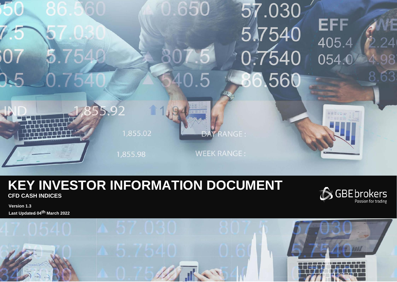

# **KEY INVESTOR INFORMATION DOCUMENT CFD CASH INDICES**



**Version 1.3 Last Updated 04th March 2022**

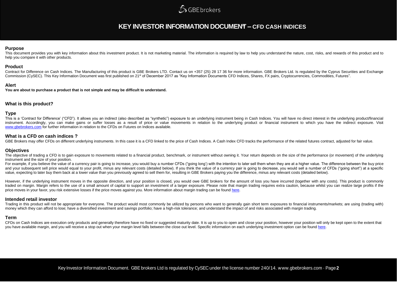## **SGBEbrokers**

### **KEY INVESTOR INFORMATION DOCUMENT – CFD CASH INDICES**

### **Purpose**

This document provides you with key information about this investment product. It is not marketing material. The information is required by law to help you understand the nature, cost, risks, and rewards of this product an help you compare it with other products.

### **Product**

Contract for Difference on Cash Indices. The Manufacturing of this product is GBE Brokers LTD. Contact us on +357 (25) 28 17 36 for more information. GBE Brokers Ltd. Is regulated by the Cyprus Securities and Exchange Commission (CySEC). This Key Information Document was first published on 21<sup>st</sup> of December 2017 as "Key Information Documents CFD Indices, Shares, FX pairs, Cryptocurrencies, Commodities, Futures".

### **Alert**

**You are about to purchase a product that is not simple and may be difficult to understand.**

### **What is this product?**

### **Type**

This is a 'Contract for Difference' ("CFD"). It allows you an indirect (also described as "synthetic") exposure to an underlying instrument being in Cash Indices. You will have no direct interest in the underlying product/ instrument. Accordingly, you can make gains or suffer losses as a result of price or value movements in relation to the underlying product or financial instrument to which you have the indirect exposure. Visit [www.gbebrokers.com](http://www.gbebrokers.com/) for further information in relation to the CFDs on Futures on Indices available.

### **What is a CFD on cash indices ?**

GBE Brokers may offer CFDs on different underlying instruments. In this case it is a CFD linked to the price of Cash Indices. A Cash Index CFD tracks the performance of the related futures contract, adjusted for fair value

### **Objectives**

The objective of trading a CFD is to gain exposure to movements related to a financial product, benchmark, or instrument without owning it. Your return depends on the size of the performance (or movement) of the underlying instrument and the size of your position.

For example, if you believe the value of a currency pair is going to increase, you would buy a number CFDs ("going long') with the intention to later sell them when they are at a higher value. The difference between the bu and your subsequent sell price would equal to your profit, minus any relevant costs (detailed below). If you think the value of a currency pair is going to decrease, you would sell a number of CFDs ("going short") at a spe value, expecting to later buy them back at a lower value than you previously agreed to sell them for, resulting in GBE Brokers paying you the difference, minus any relevant costs (detailed below).

However, if the underlying instrument moves in the opposite direction, and your position is closed, you would owe GBE brokers for the amount of loss you have incurred (together with any costs). This product is commonly traded on margin. Margin refers to the use of a small amount of capital to support an investment of a larger exposure. Please note that margin trading requires extra caution, because whilst you can realize large profits if price moves in your favor, you risk extensive losses if the price moves against you. More information about margin trading can be found [here.](https://gbebrokers.com/documents/product_specifications.pdf)

### **Intended retail investor**

Trading in this product will not be appropriate for everyone. The product would most commonly be utilized by persons who want to generally gain short term exposures to financial instruments/markets; are using (trading with money which they can afford to lose; have a diversified investment and savings portfolio; have a high-risk tolerance; and understand the impact of and risks associated with margin trading.

### **Term**

CFDs on Cash Indices are execution only products and generally therefore have no fixed or suggested maturity date. It is up to you to open and close your position, however your position will only be kept open to the extent you have available margin, and you will receive a stop out when your margin level falls between the close out level. Specific information on each underlying investment option can be foun[d here.](https://gbebrokers.com/documents/product_specifications.pdf)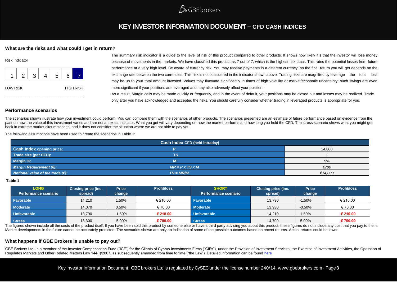

### **KEY INVESTOR INFORMATION DOCUMENT – CFD CASH INDICES**

### **What are the risks and what could I get in return?**

| <b>Risk Indicator</b> |   |   |   |   |                  |
|-----------------------|---|---|---|---|------------------|
|                       | 2 | 3 | 5 | 6 |                  |
| <b>LOW RISK</b>       |   |   |   |   | <b>HIGH RISK</b> |

The summary risk indicator is a guide to the level of risk of this product compared to other products. It shows how likely itis that the investor will lose money because of movements in the markets. We have classified this product as 7 out of 7, which is the highest risk class. This rates the potential losses from future performance at a very high level. Be aware of currency risk. You may receive payments in a different currency, so the final return you will get depends on the exchange rate between the two currencies. This risk is not considered in the indicator shown above. Trading risks are magnified by leverage the total loss may be up to your total amount invested. Values may fluctuate significantly in times of high volatility or market/economic uncertainty; such swings are even more significant if your positions are leveraged and may also adversely affect your position. As a result, Margin calls may be made quickly or frequently, and in the event of default, your positions may be closed out and losses may be realized. Trade

only after you have acknowledged and accepted the risks. You should carefully consider whether trading in leveraged products is appropriate for you.

### **Performance scenarios**

The scenarios shown illustrate how your investment could perform. You can compare them with the scenarios of other products. The scenarios presented are an estimate of future performance based on evidence from the past on how the value of this investment varies and are not an exact indicator. What you get will vary depending on how the market performs and how long you hold the CFD. The stress scenario shows what you might get back in extreme market circumstances, and it does not consider the situation where we are not able to pay you.

The following assumptions have been used to create the scenarios in Table 1:

| Cash Index CFD (held intraday)             |                             |         |  |
|--------------------------------------------|-----------------------------|---------|--|
| <b>Cash Index opening price:</b>           |                             | 14,000  |  |
| Trade size (per CFD):                      | ΤS                          |         |  |
| Margin %:                                  | M                           | 5%      |  |
| Margin Requirement (€):                    | $MR = P \times TS \times M$ | €700    |  |
| Notional value of the trade $(\epsilon)$ : | $TN = MR/M$                 | €14,000 |  |

#### **Table 1**

| <b>LONG</b><br>Performance scenario | <b>Closing price (inc.</b><br>spread) | <b>Price</b><br>change | <b>Profit/loss</b> | <b>SHORT</b><br>Performance scenario | <b>Closing price (inc.</b><br>spread) | <b>Price</b><br>change | <b>Profit/loss</b> |
|-------------------------------------|---------------------------------------|------------------------|--------------------|--------------------------------------|---------------------------------------|------------------------|--------------------|
| <b>Favorable</b>                    | 14.210                                | 1.50%                  | € 210.00           | Favorable                            | 13,790                                | $-1.50%$               | € 210.00           |
| <b>Moderate</b>                     | 14,070                                | 0.50%                  | € 70.00            | <b>Moderate</b>                      | 13,930                                | $-0.50%$               | € 70.00            |
| <b>Unfavorable</b>                  | 13,790                                | $-1.50%$               | $-6210.00$         | <b>Unfavorable</b>                   | 14,210                                | .50%                   | € 210.00           |
| <b>Stress</b>                       | 13,300                                | $-5.00%$               | $-6700.00$         | <b>Stress</b>                        | 14,700                                | 5.00%                  | $-€700.00$         |

The figures shown include all the costs of the product itself. If you have been sold this product by someone else or have a third party advising you about this product, these figures do not include any cost that you pay to Market developments in the future cannot be accurately predicted. The scenarios shown are only an indication of some of the possible outcomes based on recent returns. Actual returns could be lower.

### **What happens if GBE Brokers is unable to pay out?**

GBE Brokers Ltd. Is a member of the Investor Compensation Fund ("ICF") for the Clients of Cyprus Investments Firms ("CIFs"), under the Provision of Investment Services, the Exercise of Investment Activities, the Operation Regulates Markets and Other Related Matters Law 144(I)/2007, as subsequently amended from time to time ("the Law"). Detailed information can be found [here](https://gbebrokers.com/about-gbe-brokers/legal-documentation/)